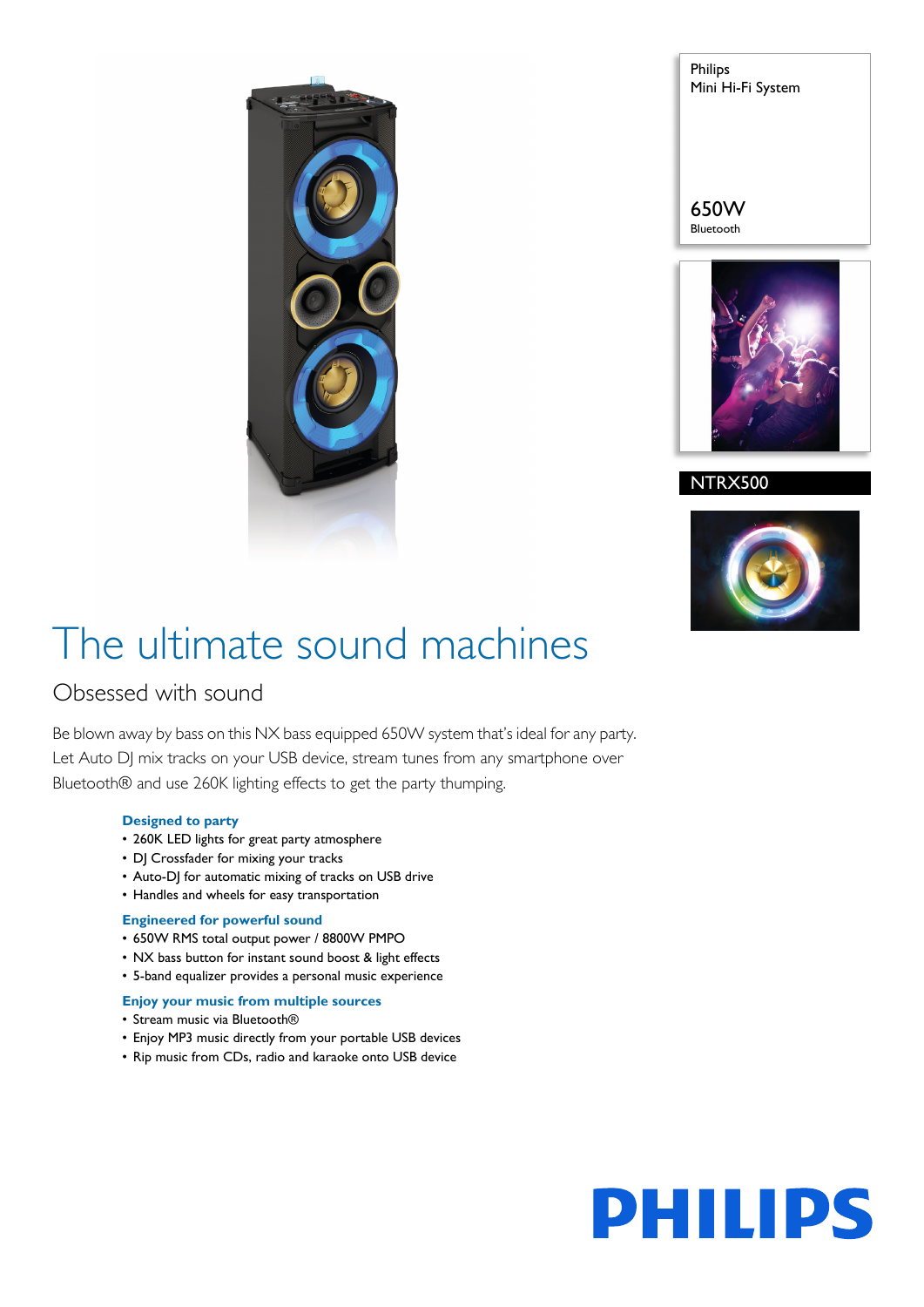

Philips Mini Hi-Fi System

650W Bluetooth



NTRX500



# The ultimate sound machines

## Obsessed with sound

Be blown away by bass on this NX bass equipped 650W system that's ideal for any party. Let Auto DJ mix tracks on your USB device, stream tunes from any smartphone over Bluetooth® and use 260K lighting effects to get the party thumping.

## **Designed to party**

- 260K LED lights for great party atmosphere
- DJ Crossfader for mixing your tracks
- Auto-DJ for automatic mixing of tracks on USB drive
- Handles and wheels for easy transportation

## **Engineered for powerful sound**

- 650W RMS total output power / 8800W PMPO
- NX bass button for instant sound boost & light effects
- 5-band equalizer provides a personal music experience

## **Enjoy your music from multiple sources**

- Stream music via Bluetooth®
- Enjoy MP3 music directly from your portable USB devices
- Rip music from CDs, radio and karaoke onto USB device

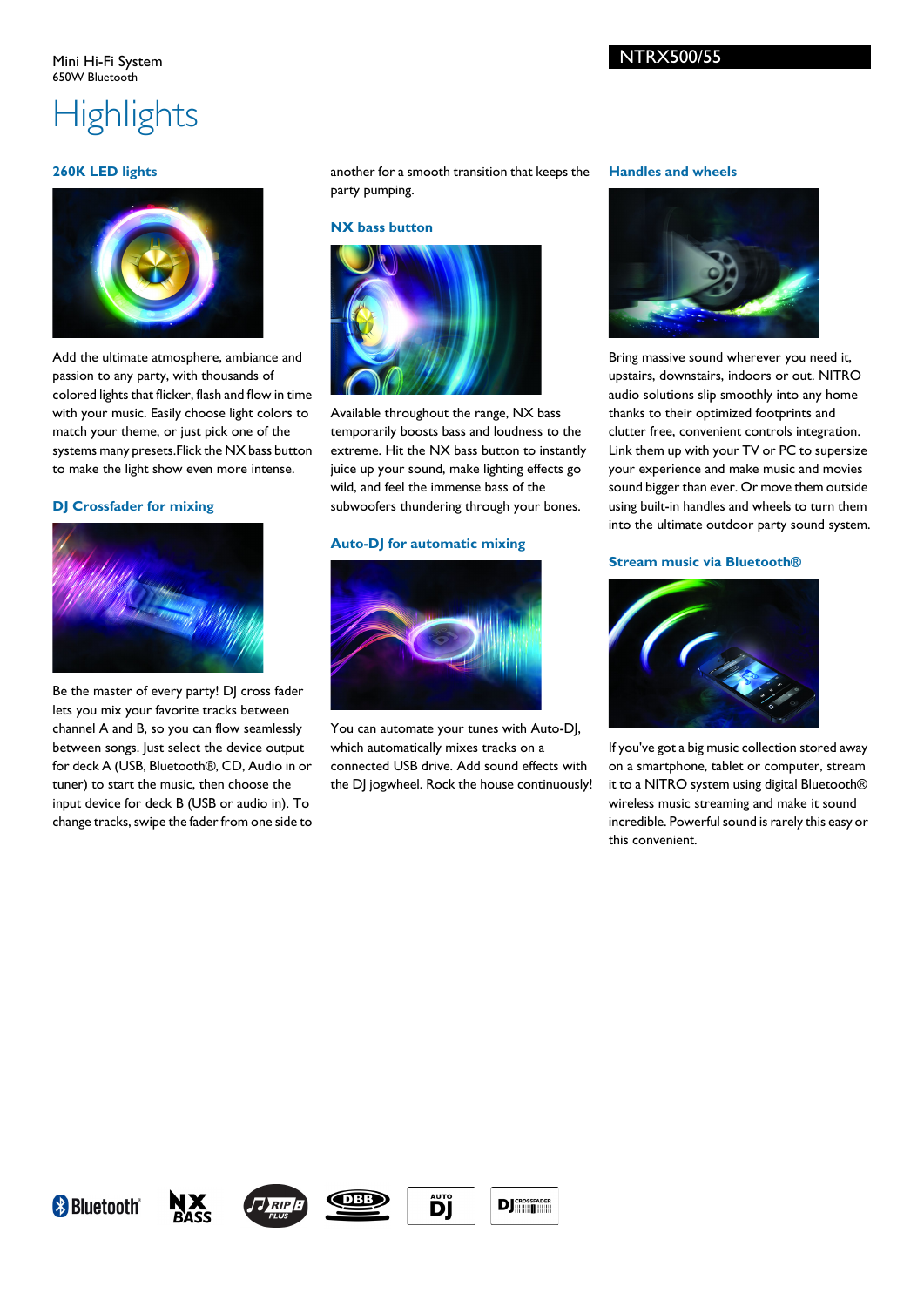## **Highlights**

## **260K LED lights**



Add the ultimate atmosphere, ambiance and passion to any party, with thousands of colored lights that flicker, flash and flow in time with your music. Easily choose light colors to match your theme, or just pick one of the systems many presets.Flick the NX bass button to make the light show even more intense.

## **DJ Crossfader for mixing**



Be the master of every party! DJ cross fader lets you mix your favorite tracks between channel A and B, so you can flow seamlessly between songs. Just select the device output for deck A (USB, Bluetooth®, CD, Audio in or tuner) to start the music, then choose the input device for deck B (USB or audio in). To change tracks, swipe the fader from one side to

another for a smooth transition that keeps the party pumping.

#### **NX bass button**



Available throughout the range, NX bass temporarily boosts bass and loudness to the extreme. Hit the NX bass button to instantly juice up your sound, make lighting effects go wild, and feel the immense bass of the subwoofers thundering through your bones.

#### **Auto-DJ for automatic mixing**



You can automate your tunes with Auto-DJ, which automatically mixes tracks on a connected USB drive. Add sound effects with the DJ jogwheel. Rock the house continuously!

#### **Handles and wheels**



Bring massive sound wherever you need it, upstairs, downstairs, indoors or out. NITRO audio solutions slip smoothly into any home thanks to their optimized footprints and clutter free, convenient controls integration. Link them up with your TV or PC to supersize your experience and make music and movies sound bigger than ever. Or move them outside using built-in handles and wheels to turn them into the ultimate outdoor party sound system.

## **Stream music via Bluetooth®**



If you've got a big music collection stored away on a smartphone, tablet or computer, stream it to a NITRO system using digital Bluetooth® wireless music streaming and make it sound incredible. Powerful sound is rarely this easy or this convenient.









ĎÏ



## NTRX500/55